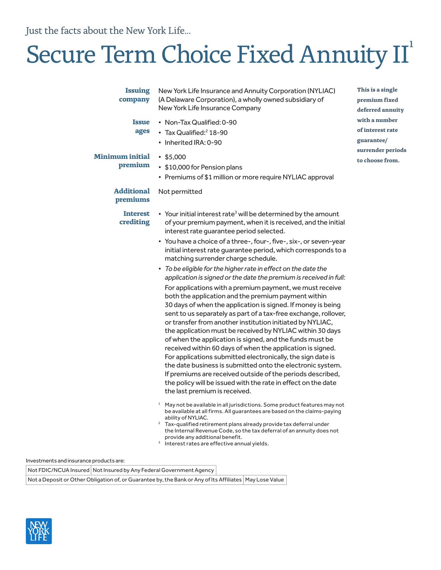Just the facts about the New York Life...

# Secure Term Choice Fixed Annuity II<sup>1</sup>

| <b>Issuing</b><br>company<br><b>Issue</b><br>ages<br><b>Minimum initial</b><br>premium | New York Life Insurance and Annuity Corporation (NYLIAC)<br>(A Delaware Corporation), a wholly owned subsidiary of<br>New York Life Insurance Company<br>• Non-Tax Qualified: 0-90<br>• Tax Qualified: <sup>2</sup> 18-90<br>• Inherited IRA: 0-90<br>$\cdot$ \$5,000<br>• \$10,000 for Pension plans                                                                                                                                                                                                                                                                                                                                                                                                                                                                                                                                                                                                                                                                                                                                                                                                                                                                                                                                                                                                                                                                                                                                                                                                                                                                                                                                                                                                                                                                      | This is a single<br>premium fixed<br>deferred annuity<br>with a number<br>of interest rate<br>guarantee/<br>surrender periods<br>to choose from. |
|----------------------------------------------------------------------------------------|----------------------------------------------------------------------------------------------------------------------------------------------------------------------------------------------------------------------------------------------------------------------------------------------------------------------------------------------------------------------------------------------------------------------------------------------------------------------------------------------------------------------------------------------------------------------------------------------------------------------------------------------------------------------------------------------------------------------------------------------------------------------------------------------------------------------------------------------------------------------------------------------------------------------------------------------------------------------------------------------------------------------------------------------------------------------------------------------------------------------------------------------------------------------------------------------------------------------------------------------------------------------------------------------------------------------------------------------------------------------------------------------------------------------------------------------------------------------------------------------------------------------------------------------------------------------------------------------------------------------------------------------------------------------------------------------------------------------------------------------------------------------------|--------------------------------------------------------------------------------------------------------------------------------------------------|
|                                                                                        | • Premiums of \$1 million or more require NYLIAC approval                                                                                                                                                                                                                                                                                                                                                                                                                                                                                                                                                                                                                                                                                                                                                                                                                                                                                                                                                                                                                                                                                                                                                                                                                                                                                                                                                                                                                                                                                                                                                                                                                                                                                                                  |                                                                                                                                                  |
| <b>Additional</b><br>premiums                                                          | Not permitted                                                                                                                                                                                                                                                                                                                                                                                                                                                                                                                                                                                                                                                                                                                                                                                                                                                                                                                                                                                                                                                                                                                                                                                                                                                                                                                                                                                                                                                                                                                                                                                                                                                                                                                                                              |                                                                                                                                                  |
| <b>Interest</b><br>crediting                                                           | • Your initial interest rate <sup>3</sup> will be determined by the amount<br>of your premium payment, when it is received, and the initial<br>interest rate guarantee period selected.<br>• You have a choice of a three-, four-, five-, six-, or seven-year<br>initial interest rate guarantee period, which corresponds to a<br>matching surrender charge schedule.<br>• To be eligible for the higher rate in effect on the date the<br>application is signed or the date the premium is received in full:<br>For applications with a premium payment, we must receive<br>both the application and the premium payment within<br>30 days of when the application is signed. If money is being<br>sent to us separately as part of a tax-free exchange, rollover,<br>or transfer from another institution initiated by NYLIAC,<br>the application must be received by NYLIAC within 30 days<br>of when the application is signed, and the funds must be<br>received within 60 days of when the application is signed.<br>For applications submitted electronically, the sign date is<br>the date business is submitted onto the electronic system.<br>If premiums are received outside of the periods described,<br>the policy will be issued with the rate in effect on the date<br>the last premium is received.<br><sup>1</sup> May not be available in all jurisdictions. Some product features may not<br>be available at all firms. All guarantees are based on the claims-paying<br>ability of NYLIAC.<br><sup>2</sup> Tax-qualified retirement plans already provide tax deferral under<br>the Internal Revenue Code, so the tax deferral of an annuity does not<br>provide any additional benefit.<br><sup>3</sup> Interest rates are effective annual yields. |                                                                                                                                                  |

Investments and insurance products are:

Not FDIC/NCUA Insured | Not Insured by Any Federal Government Agency

Not a Deposit or Other Obligation of, or Guarantee by, the Bank or Any of Its Affiliates | May Lose Value

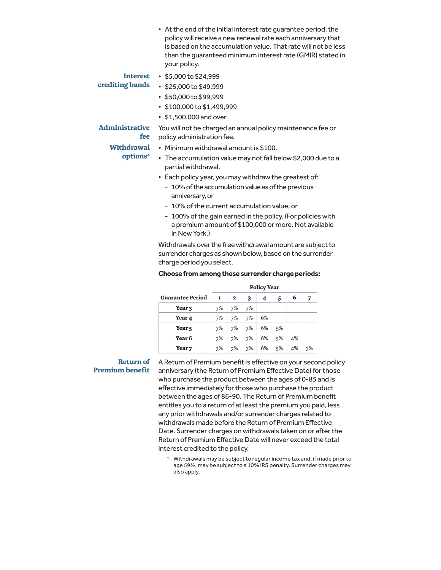• At the end of the initial interest rate guarantee period, the policy will receive a new renewal rate each anniversary that is based on the accumulation value. That rate will not be less than the guaranteed minimum interest rate (GMIR) stated in your policy.

# **Interest**

# **crediting bands**

- \$5,000 to \$24,999
- \$25,000 to \$49,999
- \$50,000 to \$99,999
- \$100,000 to \$1,499,999
- \$1,500,000 and over

# **Withdrawal**

**fee**

# **options4**

**Administrative**  You will not be charged an annual policy maintenance fee or policy administration fee.

- Minimum withdrawal amount is \$100.
- The accumulation value may not fall below \$2,000 due to a partial withdrawal.
- Each policy year, you may withdraw the greatest of:
	- 10% of the accumulation value as of the previous anniversary, or
	- 10% of the current accumulation value, or
	- 100% of the gain earned in the policy. (For policies with a premium amount of \$100,000 or more. Not available in New York.)

Withdrawals over the free withdrawal amount are subject to surrender charges as shown below, based on the surrender charge period you select.

#### **Choose from among these surrender charge periods:**

|                         | <b>Policy Year</b> |              |    |    |        |    |    |
|-------------------------|--------------------|--------------|----|----|--------|----|----|
| <b>Guarantee Period</b> | 1                  | $\mathbf{2}$ | 3  | 4  | 5      | 6  | 7  |
| Year 3                  | 7%                 | 7%           | 7% |    |        |    |    |
| Year 4                  | 7%                 | 7%           | 7% | 6% |        |    |    |
| Year <sub>5</sub>       | 7%                 | 7%           | 7% | 6% | $.5\%$ |    |    |
| Year 6                  | 7%                 | 7%           | 7% | 6% | $.5\%$ | 4% |    |
| Year <sub>7</sub>       | 7%                 | 7%           | 7% | 6% | 5%     | 4% | 3% |

# **Premium benefit**

Return of A Return of Premium benefit is effective on your second policy anniversary (the Return of Premium Effective Date) for those who purchase the product between the ages of 0-85 and is effective immediately for those who purchase the product between the ages of 86-90. The Return of Premium benefit entitles you to a return of at least the premium you paid, less any prior withdrawals and/or surrender charges related to withdrawals made before the Return of Premium Effective Date. Surrender charges on withdrawals taken on or after the Return of Premium Effective Date will never exceed the total interest credited to the policy.

> 4 Withdrawals may be subject to regular income tax and, if made prior to age 59½, may be subject to a 10% IRS penalty. Surrender charges may also apply.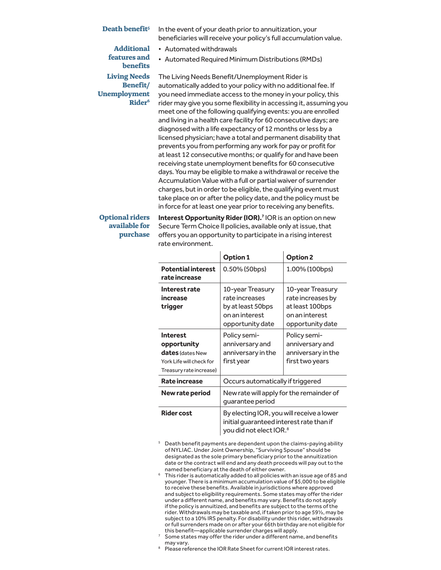#### **Death benefit<sup>5</sup>** In the event of your death prior to annuitization, your

**Additional** 

beneficiaries will receive your policy's full accumulation value.

- Automated withdrawals
- Automated Required Minimum Distributions (RMDs)

# **features and benefits Living Needs Benefit/ Unemployment Rider6**

The Living Needs Benefit/Unemployment Rider is automatically added to your policy with no additional fee. If you need immediate access to the money in your policy, this rider may give you some flexibility in accessing it, assuming you meet one of the following qualifying events: you are enrolled and living in a health care facility for 60 consecutive days; are diagnosed with a life expectancy of 12 months or less by a licensed physician; have a total and permanent disability that prevents you from performing any work for pay or profit for at least 12 consecutive months; or qualify for and have been receiving state unemployment benefits for 60 consecutive days. You may be eligible to make a withdrawal or receive the Accumulation Value with a full or partial waiver of surrender charges, but in order to be eligible, the qualifying event must take place on or after the policy date, and the policy must be in force for at least one year prior to receiving any benefits.

## **Optional riders available for purchase**

**Interest Opportunity Rider (IOR).<sup>7</sup> IOR is an option on new** Secure Term Choice II policies, available only at issue, that offers you an opportunity to participate in a rising interest rate environment.

|                                                                                                           | <b>Option 1</b>                                                                                                              | Option 2                                                                                       |  |
|-----------------------------------------------------------------------------------------------------------|------------------------------------------------------------------------------------------------------------------------------|------------------------------------------------------------------------------------------------|--|
| <b>Potential interest</b><br>rate increase                                                                | 0.50% (50bps)                                                                                                                | 1.00% (100bps)                                                                                 |  |
| Interest rate<br>increase<br>trigger                                                                      | 10-year Treasury<br>rate increases<br>by at least 50bps<br>on an interest<br>opportunity date                                | 10-year Treasury<br>rate increases by<br>at least 100bps<br>on an interest<br>opportunity date |  |
| Interest<br>opportunity<br><b>dates</b> (dates New<br>York Life will check for<br>Treasury rate increase) | Policy semi-<br>anniversary and<br>anniversary in the<br>first year                                                          | Policy semi-<br>anniversary and<br>anniversary in the<br>first two years                       |  |
| Rate increase                                                                                             | Occurs automatically if triggered                                                                                            |                                                                                                |  |
| New rate period                                                                                           | New rate will apply for the remainder of<br>quarantee period                                                                 |                                                                                                |  |
| <b>Rider cost</b>                                                                                         | By electing IOR, you will receive a lower<br>initial quaranteed interest rate than if<br>you did not elect IOR. <sup>8</sup> |                                                                                                |  |

- <sup>5</sup> Death benefit payments are dependent upon the claims-paying ability of NYLIAC. Under Joint Ownership, "Surviving Spouse" should be designated as the sole primary beneficiary prior to the annuitization date or the contract will end and any death proceeds will pay out to the named beneficiary at the death of either owner.
- <sup>6</sup> This rider is automatically added to all policies with an issue age of 85 and younger. There is a minimum accumulation value of \$5,000 to be eligible to receive these benefits. Available in jurisdictions where approved and subject to eligibility requirements. Some states may offer the rider under a different name, and benefits may vary. Benefits do not apply if the policy is annuitized, and benefits are subject to the terms of the rider. Withdrawals may be taxable and, if taken prior to age 59½, may be subject to a 10% IRS penalty. For disability under this rider, withdrawals or full surrenders made on or after your 66th birthday are not eligible for this benefit—applicable surrender charges will apply. 7
- Some states may offer the rider under a different name, and benefits may vary.
- <sup>8</sup> Please reference the IOR Rate Sheet for current IOR interest rates.